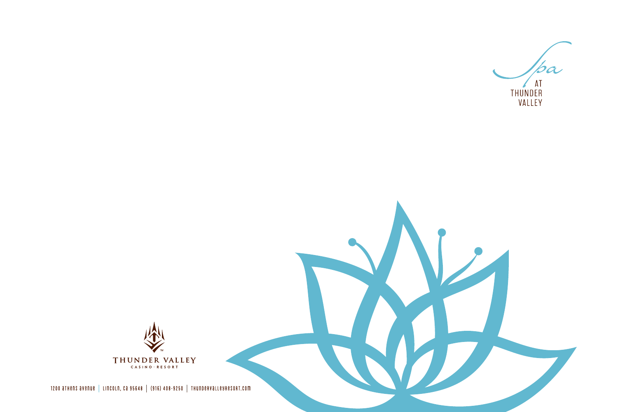

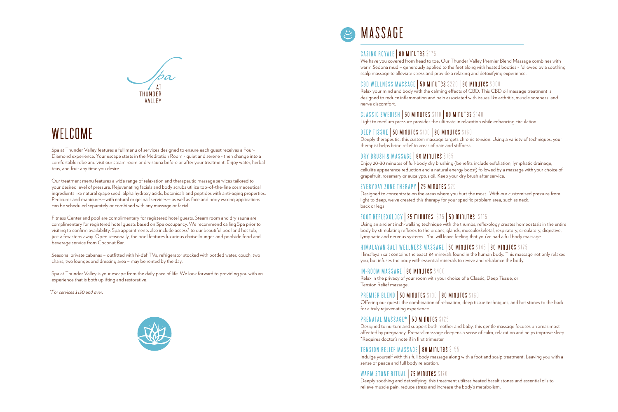

## WELCOME

Spa at Thunder Valley features a full menu of services designed to ensure each guest receives a Four-Diamond experience. Your escape starts in the Meditation Room - quiet and serene - then change into a comfortable robe and visit our steam room or dry sauna before or after your treatment. Enjoy water, herbal teas, and fruit any time you desire.

Our treatment menu features a wide range of relaxation and therapeutic massage services tailored to your desired level of pressure. Rejuvenating facials and body scrubs utilize top-of-the-line cosmeceutical ingredients like natural grape seed, alpha hydroxy acids, botanicals and peptides with anti-aging properties. Pedicures and manicures—with natural or gel nail services— as well as face and body waxing applications can be scheduled separately or combined with any massage or facial.

Fitness Center and pool are complimentary for registered hotel guests. Steam room and dry sauna are complimentary for registered hotel guests based on Spa occupancy. We recommend calling Spa prior to visiting to confirm availability. Spa appointments also include access\* to our beautiful pool and hot tub, just a few steps away. Open seasonally, the pool features luxurious chaise lounges and poolside food and beverage service from Coconut Bar.

Seasonal private cabanas – outfitted with hi-def TVs, refrigerator stocked with bottled water, couch, two chairs, two lounges and dressing area – may be rented by the day.

Spa at Thunder Valley is your escape from the daily pace of life. We look forward to providing you with an experience that is both uplifting and restorative.

*\*For services \$150 and over*.





## CASINO ROYALE | 80 MINUTES \$175

We have you covered from head to toe. Our Thunder Valley Premier Blend Massage combines with warm Sedona mud – generously applied to the feet along with heated booties - followed by a soothing scalp massage to alleviate stress and provide a relaxing and detoxifying experience.

## CBD WELLNESS MASSAGE | 50 Minutes \$220 | 80 Minutes \$300

Relax your mind and body with the calming effects of CBD. This CBD oil massage treatment is designed to reduce inflammation and pain associated with issues like arthritis, muscle soreness, and nerve discomfort.

## CLASSIC SWEDISH | 50 Minutes \$110 | 80 Minutes \$140

Light to medium pressure provides the ultimate in relaxation while enhancing circulation.

## DEEP TISSUE | 50 Minutes \$130 | 80 Minutes \$160

Deeply therapeutic, this custom massage targets chronic tension. Using a variety of techniques, your therapist helps bring relief to areas of pain and stiffness.

## DRY BRUSH & MASSAGE | 80 MINUTES \$165

Enjoy 20-30 minutes of full-body dry brushing (benefits include exfoliation, lymphatic drainage, cellulite appearance reduction and a natural energy boost) followed by a massage with your choice of grapefruit, rosemary or eucalyptus oil. Keep your dry brush after service.

## EVERYDAY ZONE THERAPY | 25 Minutes \$75

Designed to concentrate on the areas where you hurt the most. With our customized pressure from light to deep, we've created this therapy for your specific problem area, such as neck, back or legs.

## FOOT REFLEXOLOGY | 25 minutes \$75 | 50 minutes \$115

Using an ancient inch-walking technique with the thumbs, reflexology creates homeostasis in the entire body by stimulating reflexes to the organs, glands, musculoskeletal, respiratory, circulatory, digestive, lymphatic and nervous systems. You will leave feeling that you've had a full body massage.

## HIMALAYAN SALT WELLNESS MASSAGE | 50 MINUTES \$145 | 80 MINUTES \$175

Himalayan salt contains the exact 84 minerals found in the human body. This massage not only relaxes you, but infuses the body with essential minerals to revive and rebalance the body.

## IN-ROOM MASSAGE | 80 Minutes \$400

Relax in the privacy of your room with your choice of a Classic, Deep Tissue, or Tension Relief massage.

## PREMIER BLEND | 50 MINUTES \$130 | 80 MINUTES \$160

Offering our guests the combination of relaxation, deep tissue techniques, and hot stones to the back for a truly rejuvenating experience.

## PRENATAL MASSAGE\* | 50 MINUTES \$125

Designed to nurture and support both mother and baby, this gentle massage focuses on areas most affected by pregnancy. Prenatal massage deepens a sense of calm, relaxation and helps improve sleep. \*Requires doctor's note if in first trimester

## TENSION RELIEF MASSAGE | 80 Minutes \$155

Indulge yourself with this full body massage along with a foot and scalp treatment. Leaving you with a sense of peace and full body relaxation.

## WARM STONE RITUAL | 75 MINUTES \$170

Deeply soothing and detoxifying, this treatment utilizes heated basalt stones and essential oils to relieve muscle pain, reduce stress and increase the body's metabolism.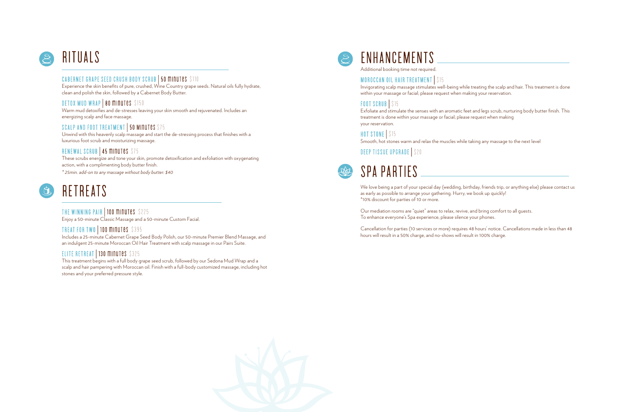# RITUALS

## CABERNET GRAPE SEED CRUSH BODY SCRUB | 50 minutes \$110

Experience the skin benefits of pure, crushed, Wine Country grape seeds. Natural oils fully hydrate, clean and polish the skin, followed by a Cabernet Body Butter.

## DETOX MUD WRAP | 80 MINUTES \$150

Warm mud detoxifies and de-stresses leaving your skin smooth and rejuvenated. Includes an energizing scalp and face massage.

## SCALP AND FOOT TREATMENT | 50 MINUTES \$75

Unwind with this heavenly scalp massage and start the de-stressing process that finishes with a luxurious foot scrub and moisturizing massage.

## RENEWAL SCRUB | 45 MINUTES \$75

These scrubs energize and tone your skin, promote detoxification and exfoliation with oxygenating action, with a complimenting body butter finish. *\* 25min. add-on to any massage without body butter: \$40*

## RETREATS  $\mathbf{G}$

THE WINNING PAIR | 100 minutes \$225 Enjoy a 50-minute Classic Massage and a 50-minute Custom Facial.

## TREAT FOR TWO | 100 MINUTES \$395

Includes a 25-minute Cabernet Grape Seed Body Polish, our 50-minute Premier Blend Massage, and an indulgent 25-minute Moroccan Oil Hair Treatment with scalp massage in our Pairs Suite.

## ELITE RETREAT | 130 MINUTES \$325

This treatment begins with a full body grape seed scrub, followed by our Sedona Mud Wrap and a scalp and hair pampering with Moroccan oil. Finish with a full-body customized massage, including hot stones and your preferred pressure style.



## ENHANCEMENTS

Additional booking time not required.

## MOROCCAN OIL HAIR TREATMENT | \$15

Invigorating scalp massage stimulates well-being while treating the scalp and hair. This treatment is done within your massage or facial; please request when making your reservation.

## FOOT SCRUB S15

Exfoliate and stimulate the senses with an aromatic feet and legs scrub, nurturing body butter finish. This treatment is done within your massage or facial; please request when making your reservation.

HOT STONE | \$15

Smooth, hot stones warm and relax the muscles while taking any massage to the next level

## DEEP TISSUE UPGRADE | \$20



We love being a part of your special day (wedding, birthday, friends trip, or anything else) please contact us as early as possible to arrange your gathering. Hurry, we book up quickly! \*10% discount for parties of 10 or more.

Our mediation rooms are "quiet" areas to relax, revive, and bring comfort to all guests. To enhance everyone's Spa experience, please silence your phones.

Cancellation for parties (10 services or more) requires 48 hours' notice. Cancellations made in less than 48 hours will result in a 50% charge, and no-shows will result in 100% charge.

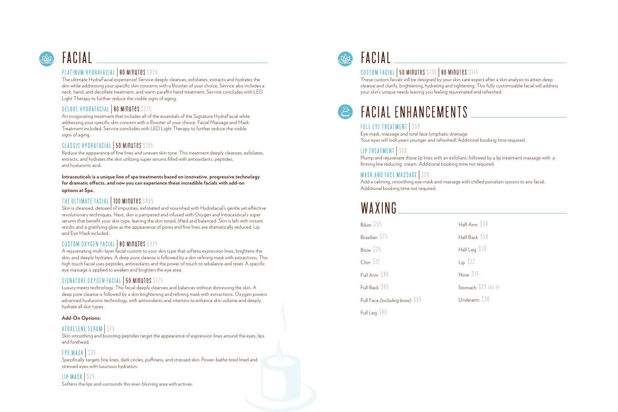# FACIAL **ACIAL** PLATINUM HYDRAFACIAL | 80 MINUTES \$325

The ultimate HydraFacial experience! Service deeply cleanses, exfoliates, extracts and hydrates the skin while addressing your specific skin concerns with a Booster of your choice. Service also includes a neck, hand, and decollate treatment, and warm paraffin hand treatment. Service concludes with LED Light Therapy to further reduce the visible signs of aging.

## DELUXE HYDRAFACIAL | 80 MINUTES \$275

An invigorating treatment that includes all of the essentials of the Signature HydraFacial while addressing your specific skin concern with a Booster of your choice. Facial Massage and Mask Treatment included. Service concludes with LED Light Therapy to further reduce the visible signs of aging.

## CLASSIC HYDRAFACIAL | 50 MINUTES \$195

Reduce the appearance of fine lines and uneven skin tone. This treatment deeply cleanses, exfoliates, extracts, and hydrates the skin utilizing super serums filled with antioxidants, peptides, and hyaluronic acid.

**Intraceuticals is a unique line of spa treatments based on innovative, progressive technology for dramatic effects, and now you can experience these incredible facials with add-on options at Spa.**

## THE ULTIMATE FACIAL 100 MINUTES \$495

Skin is cleansed, detoxed of impurities, exfoliated and nourished with Hydrafacial's gentle yet effective revolutionary techniques. Next, skin is pampered and infused with Oxygen and Intraceutical's super serums that benefit your skin type, leaving the skin toned, lifted and balanced. Skin is left with instant results and a gratifying glow as the appearance of pores and fine lines are dramatically reduced. Lip and Eye Mask included.

## CUSTOM OXYGEN FACIAL | 80 MINUTES \$325

A rejuvenating multi-layer facial custom to your skin type that softens expression lines, brightens the skin, and deeply hydrates. A deep pore cleanse is followed by a skin refining mask with extractions. This high touch facial uses peptides, antioxidants and the power of touch to rebalance and reset. A specific eye massage is applied to awaken and brighten the eye area.

## SIGNATURE OXYGEN FACIAL | 50 MINUTES \$175

Luxury meets technology. This facial deeply cleanses and balances without distressing the skin. A deep pore cleanse is followed by a skin brightening and refining mask with extractions. Oxygen powers advanced hyaluronic technology, with antioxidants and vitamins to enhance skin volume and deeply hydrate all skin types.

## **Add-On Options:**

## ATOXELENE SERUM

Skin smoothing and boosting peptides target the appearance of expression lines around the eyes, lips and forehead.

## EYE MASK | \$35

Specifically targets fine lines, dark circles, puffiness, and stressed skin. Power-bathe tired lined and stressed eyes with luxurious hydration.

LIP MASK | \$25 Softens the lips and surrounds this ever-blurring area with actives.



# FACIAL CONSERVERSE SERVICES \$130 | 80 MINUTES \$175

These custom facials will be designed by your skin care expert after a skin analysis to attain deep cleanse and clarify, brightening, hydrating and tightening. This fully customizable facial will address your skin's unique needs leaving you feeling rejuvenated and refreshed.

# FACIAL ENHANCEMENTS

Eye mask, massage and total face lymphatic drainage. Your eyes will look years younger and refreshed! Additional booking time required.

## LIP TREATMENT S20

Plump and rejuvenate those lip lines with an exfoliant, followed by a lip treatment massage with a firming line reducing cream. Additional booking time not required.

## MASK AND FACE MASSAGE | \$20

Add a calming, smoothing eye mask and massage with chilled porcelain spoons to any facial. Additional booking time not required.

## WAXING

| Bikini \$55                     | Half Arm $$30$      |
|---------------------------------|---------------------|
| Brazilian \$75                  | Half Back \$50      |
| Brow \$25                       | Half Leq $$30$      |
| Chin $$12$                      | $Lip$ $$12$         |
| Full Arm \$45                   | Nose \$15           |
| Full Back \$65                  | Stomach \$25 AND UP |
| Full Face (including brow) \$55 | Underarm \$30       |
| Full Leg $$60$                  |                     |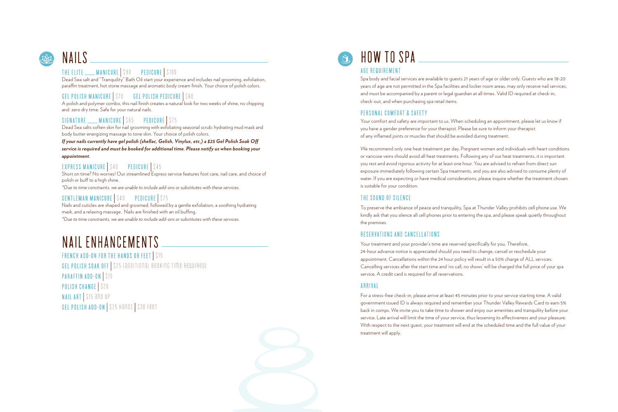# NAILS **WELLS** And THE ELITE WANICURE | \$90 PEDICURE | \$100

Dead Sea salt and "Tranquility" Bath Oil start your experience and includes nail grooming, exfoliation, paraffin treatment, hot stone massage and aromatic body cream finish. Your choice of polish colors.

## GEL POLISH MANICURE | \$70 GEL POLISH PEDICURE | \$80

A polish and polymer combo, this nail finish creates a natural look for two weeks of shine, no chipping and zero dry time. Safe for your natural nails.

## SIGNATURE  $\sim$  MANICURE \\$65 PEDICURE \\$75

Dead Sea salts soften skin for nail grooming with exfoliating seasonal scrub; hydrating mud mask and body butter energizing massage to tone skin. Your choice of polish colors.

*If your nails currently have gel polish (shellac, Gelish, Vinylux, etc.) a \$25 Gel Polish Soak Off service is required and must be booked for additional time. Please notify us when booking your appointment.*

## EXPRESS MANICURE | \$40 PEDICURE | \$45

Short on time? No worries! Our streamlined Express service features foot care, nail care, and choice of polish or buff to a high shine.

*\*Due to time constraints, we are unable to include add-ons or substitutes with these services.*

## GENTLEMAN MANICURE | \$40 PEDICURE | \$75

Nails and cuticles are shaped and groomed, followed by a gentle exfoliation, a soothing hydrating mask, and a relaxing massage. Nails are finished with an oil buffing.

*\*Due to time constraints, we are unable to include add-ons or substitutes with these services.* 

## NAIL ENHANCEMENTS

FRENCH ADD-ON FOR THE HANDS OR FEET | \$15 GEL POLISH SOAK OFF | \$25 (additional booking time required) PARAFFIN ADD-ON S15

POLISH CHANGE | \$20

NAIL ART | \$15 and up GEL POLISH ADD-ON | \$25 HANDS | \$30 FEET



Spa body and facial services are available to guests 21 years of age or older only. Guests who are 18-20 years of age are not permitted in the Spa facilities and locker room areas, may only receive nail services, and must be accompanied by a parent or legal guardian at all times. Valid ID required at check-in, check-out, and when purchasing spa retail items.

## PERSONAL COMFORT & SAFETY

Your comfort and safety are important to us. When scheduling an appointment, please let us know if you have a gender preference for your therapist. Please be sure to inform your therapist of any inflamed joints or muscles that should be avoided during treatment.

We recommend only one heat treatment per day. Pregnant women and individuals with heart conditions or varicose veins should avoid all heat treatments. Following any of our heat treatments, it is important you rest and avoid rigorous activity for at least one hour. You are advised to refrain from direct sun exposure immediately following certain Spa treatments, and you are also advised to consume plenty of water. If you are expecting or have medical considerations, please inquire whether the treatment chosen is suitable for your condition.

## THE SOUND OF SILENCE

To preserve the ambiance of peace and tranquility, Spa at Thunder Valley prohibits cell phone use. We kindly ask that you silence all cell phones prior to entering the spa, and please speak quietly throughout the premises.

## RESERVATIONS AND CANCELLATIONS

Your treatment and your provider's time are reserved specifically for you. Therefore, 24-hour advance notice is appreciated should you need to change, cancel or reschedule your appointment. Cancellations within the 24 hour policy will result in a 50% charge of ALL services. Cancelling services after the start time and 'no call, no shows' will be charged the full price of your spa service. A credit card is required for all reservations.

## ARRIVAL

For a stress-free check-in, please arrive at least 45 minutes prior to your service starting time. A valid government issued ID is always required and remember your Thunder Valley Rewards Card to earn 5% back in comps. We invite you to take time to shower and enjoy our amenities and tranquility before your service. Late arrival will limit the time of your service, thus lessening its effectiveness and your pleasure. With respect to the next guest, your treatment will end at the scheduled time and the full value of your treatment will apply.